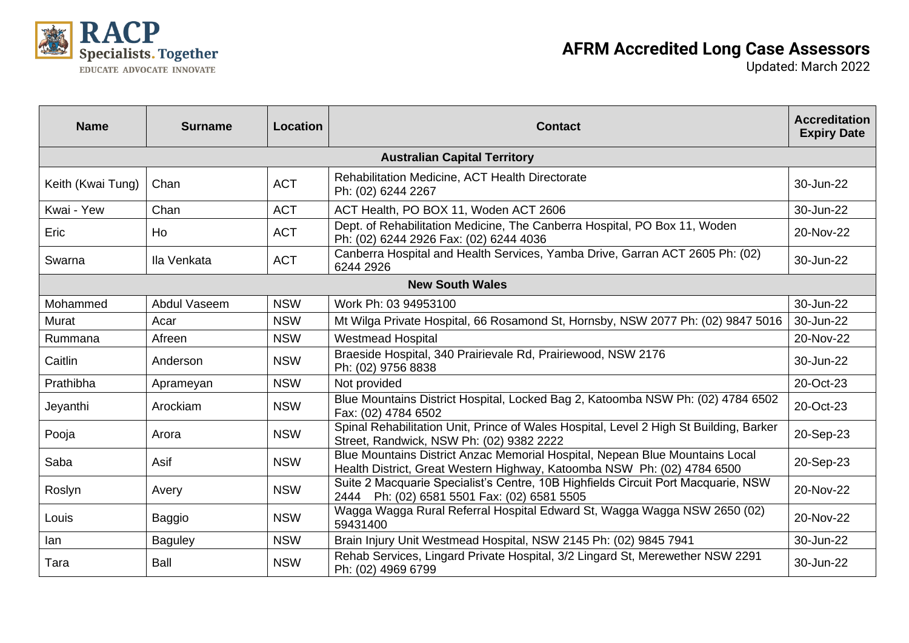

| <b>Name</b>       | <b>Surname</b> | Location   | <b>Contact</b>                                                                                                                                          | <b>Accreditation</b><br><b>Expiry Date</b> |
|-------------------|----------------|------------|---------------------------------------------------------------------------------------------------------------------------------------------------------|--------------------------------------------|
|                   |                |            | <b>Australian Capital Territory</b>                                                                                                                     |                                            |
| Keith (Kwai Tung) | Chan           | <b>ACT</b> | Rehabilitation Medicine, ACT Health Directorate<br>Ph: (02) 6244 2267                                                                                   | 30-Jun-22                                  |
| Kwai - Yew        | Chan           | <b>ACT</b> | ACT Health, PO BOX 11, Woden ACT 2606                                                                                                                   | 30-Jun-22                                  |
| Eric              | Ho             | <b>ACT</b> | Dept. of Rehabilitation Medicine, The Canberra Hospital, PO Box 11, Woden<br>Ph: (02) 6244 2926 Fax: (02) 6244 4036                                     | 20-Nov-22                                  |
| Swarna            | Ila Venkata    | <b>ACT</b> | Canberra Hospital and Health Services, Yamba Drive, Garran ACT 2605 Ph: (02)<br>6244 2926                                                               | 30-Jun-22                                  |
|                   |                |            | <b>New South Wales</b>                                                                                                                                  |                                            |
| Mohammed          | Abdul Vaseem   | <b>NSW</b> | Work Ph: 03 94953100                                                                                                                                    | 30-Jun-22                                  |
| Murat             | Acar           | <b>NSW</b> | Mt Wilga Private Hospital, 66 Rosamond St, Hornsby, NSW 2077 Ph: (02) 9847 5016                                                                         | 30-Jun-22                                  |
| Rummana           | Afreen         | <b>NSW</b> | <b>Westmead Hospital</b>                                                                                                                                | 20-Nov-22                                  |
| Caitlin           | Anderson       | <b>NSW</b> | Braeside Hospital, 340 Prairievale Rd, Prairiewood, NSW 2176<br>Ph: (02) 9756 8838                                                                      | 30-Jun-22                                  |
| Prathibha         | Aprameyan      | <b>NSW</b> | Not provided                                                                                                                                            | 20-Oct-23                                  |
| Jeyanthi          | Arockiam       | <b>NSW</b> | Blue Mountains District Hospital, Locked Bag 2, Katoomba NSW Ph: (02) 4784 6502<br>Fax: (02) 4784 6502                                                  | 20-Oct-23                                  |
| Pooja             | Arora          | <b>NSW</b> | Spinal Rehabilitation Unit, Prince of Wales Hospital, Level 2 High St Building, Barker<br>Street, Randwick, NSW Ph: (02) 9382 2222                      | 20-Sep-23                                  |
| Saba              | Asif           | <b>NSW</b> | Blue Mountains District Anzac Memorial Hospital, Nepean Blue Mountains Local<br>Health District, Great Western Highway, Katoomba NSW Ph: (02) 4784 6500 | 20-Sep-23                                  |
| Roslyn            | Avery          | <b>NSW</b> | Suite 2 Macquarie Specialist's Centre, 10B Highfields Circuit Port Macquarie, NSW<br>2444 Ph: (02) 6581 5501 Fax: (02) 6581 5505                        | 20-Nov-22                                  |
| Louis             | <b>Baggio</b>  | <b>NSW</b> | Wagga Wagga Rural Referral Hospital Edward St, Wagga Wagga NSW 2650 (02)<br>59431400                                                                    | 20-Nov-22                                  |
| lan               | <b>Baguley</b> | <b>NSW</b> | Brain Injury Unit Westmead Hospital, NSW 2145 Ph: (02) 9845 7941                                                                                        | 30-Jun-22                                  |
| Tara              | Ball           | <b>NSW</b> | Rehab Services, Lingard Private Hospital, 3/2 Lingard St, Merewether NSW 2291<br>Ph: (02) 4969 6799                                                     | 30-Jun-22                                  |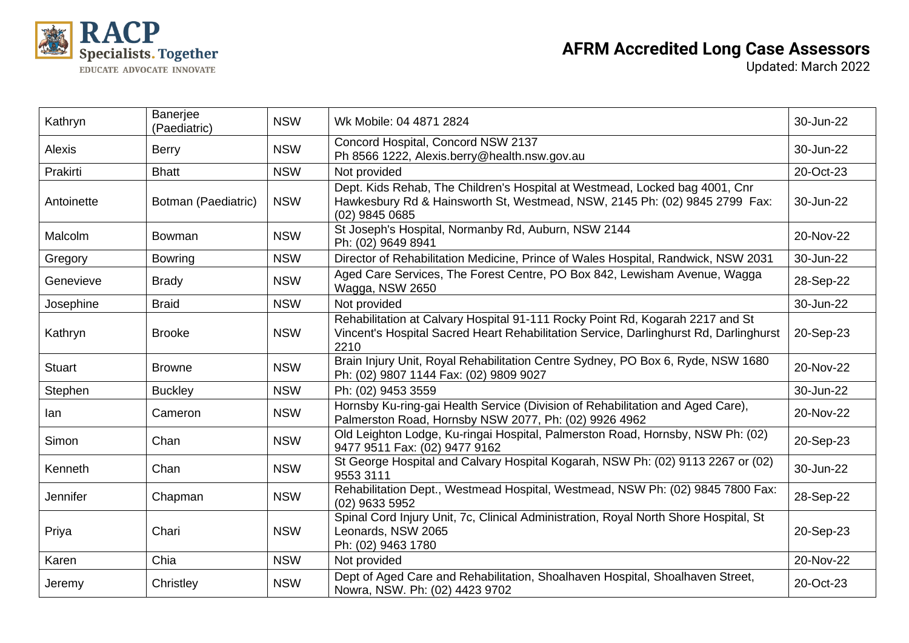

| Kathryn       | Banerjee<br>(Paediatric) | <b>NSW</b> | Wk Mobile: 04 4871 2824                                                                                                                                                        | 30-Jun-22 |
|---------------|--------------------------|------------|--------------------------------------------------------------------------------------------------------------------------------------------------------------------------------|-----------|
| <b>Alexis</b> | <b>Berry</b>             | <b>NSW</b> | Concord Hospital, Concord NSW 2137<br>Ph 8566 1222, Alexis.berry@health.nsw.gov.au                                                                                             | 30-Jun-22 |
| Prakirti      | <b>Bhatt</b>             | <b>NSW</b> | Not provided                                                                                                                                                                   | 20-Oct-23 |
| Antoinette    | Botman (Paediatric)      | <b>NSW</b> | Dept. Kids Rehab, The Children's Hospital at Westmead, Locked bag 4001, Cnr<br>Hawkesbury Rd & Hainsworth St, Westmead, NSW, 2145 Ph: (02) 9845 2799 Fax:<br>(02) 9845 0685    | 30-Jun-22 |
| Malcolm       | <b>Bowman</b>            | <b>NSW</b> | St Joseph's Hospital, Normanby Rd, Auburn, NSW 2144<br>Ph: (02) 9649 8941                                                                                                      | 20-Nov-22 |
| Gregory       | <b>Bowring</b>           | <b>NSW</b> | Director of Rehabilitation Medicine, Prince of Wales Hospital, Randwick, NSW 2031                                                                                              | 30-Jun-22 |
| Genevieve     | <b>Brady</b>             | <b>NSW</b> | Aged Care Services, The Forest Centre, PO Box 842, Lewisham Avenue, Wagga<br>Wagga, NSW 2650                                                                                   | 28-Sep-22 |
| Josephine     | <b>Braid</b>             | <b>NSW</b> | Not provided                                                                                                                                                                   | 30-Jun-22 |
| Kathryn       | <b>Brooke</b>            | <b>NSW</b> | Rehabilitation at Calvary Hospital 91-111 Rocky Point Rd, Kogarah 2217 and St<br>Vincent's Hospital Sacred Heart Rehabilitation Service, Darlinghurst Rd, Darlinghurst<br>2210 | 20-Sep-23 |
| <b>Stuart</b> | <b>Browne</b>            | <b>NSW</b> | Brain Injury Unit, Royal Rehabilitation Centre Sydney, PO Box 6, Ryde, NSW 1680<br>Ph: (02) 9807 1144 Fax: (02) 9809 9027                                                      | 20-Nov-22 |
| Stephen       | <b>Buckley</b>           | <b>NSW</b> | Ph: (02) 9453 3559                                                                                                                                                             | 30-Jun-22 |
| lan           | Cameron                  | <b>NSW</b> | Hornsby Ku-ring-gai Health Service (Division of Rehabilitation and Aged Care),<br>Palmerston Road, Hornsby NSW 2077, Ph: (02) 9926 4962                                        | 20-Nov-22 |
| Simon         | Chan                     | <b>NSW</b> | Old Leighton Lodge, Ku-ringai Hospital, Palmerston Road, Hornsby, NSW Ph: (02)<br>9477 9511 Fax: (02) 9477 9162                                                                | 20-Sep-23 |
| Kenneth       | Chan                     | <b>NSW</b> | St George Hospital and Calvary Hospital Kogarah, NSW Ph: (02) 9113 2267 or (02)<br>9553 3111                                                                                   | 30-Jun-22 |
| Jennifer      | Chapman                  | <b>NSW</b> | Rehabilitation Dept., Westmead Hospital, Westmead, NSW Ph: (02) 9845 7800 Fax:<br>(02) 9633 5952                                                                               | 28-Sep-22 |
| Priya         | Chari                    | <b>NSW</b> | Spinal Cord Injury Unit, 7c, Clinical Administration, Royal North Shore Hospital, St<br>Leonards, NSW 2065<br>Ph: (02) 9463 1780                                               | 20-Sep-23 |
| Karen         | Chia                     | <b>NSW</b> | Not provided                                                                                                                                                                   | 20-Nov-22 |
| Jeremy        | Christley                | <b>NSW</b> | Dept of Aged Care and Rehabilitation, Shoalhaven Hospital, Shoalhaven Street,<br>Nowra, NSW. Ph: (02) 4423 9702                                                                | 20-Oct-23 |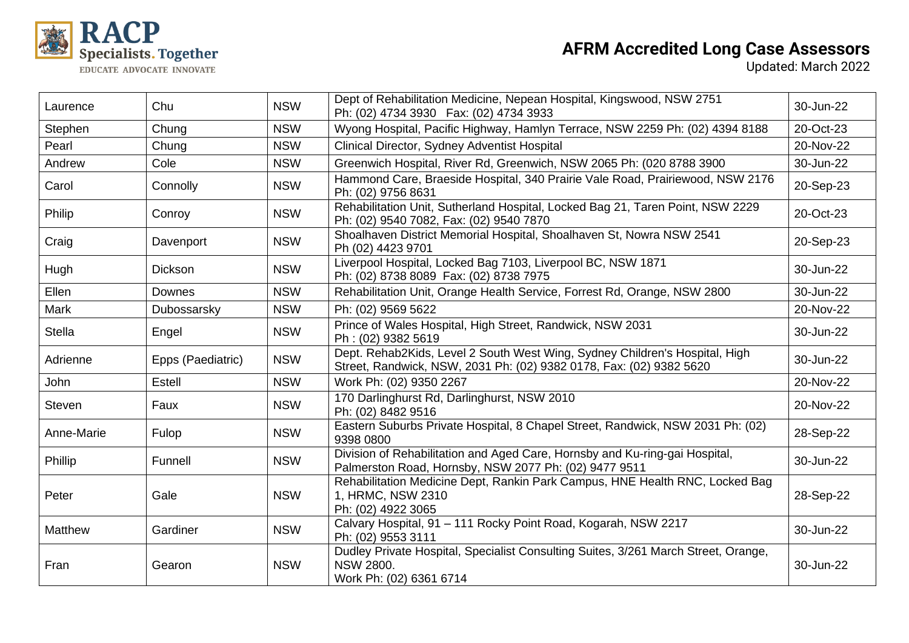

| Laurence       | Chu               | <b>NSW</b> | Dept of Rehabilitation Medicine, Nepean Hospital, Kingswood, NSW 2751<br>Ph: (02) 4734 3930  Fax: (02) 4734 3933                                   | 30-Jun-22 |
|----------------|-------------------|------------|----------------------------------------------------------------------------------------------------------------------------------------------------|-----------|
| Stephen        | Chung             | <b>NSW</b> | Wyong Hospital, Pacific Highway, Hamlyn Terrace, NSW 2259 Ph: (02) 4394 8188                                                                       | 20-Oct-23 |
| Pearl          | Chung             | <b>NSW</b> | Clinical Director, Sydney Adventist Hospital                                                                                                       | 20-Nov-22 |
| Andrew         | Cole              | <b>NSW</b> | Greenwich Hospital, River Rd, Greenwich, NSW 2065 Ph: (020 8788 3900                                                                               | 30-Jun-22 |
| Carol          | Connolly          | <b>NSW</b> | Hammond Care, Braeside Hospital, 340 Prairie Vale Road, Prairiewood, NSW 2176<br>Ph: (02) 9756 8631                                                | 20-Sep-23 |
| Philip         | Conroy            | <b>NSW</b> | Rehabilitation Unit, Sutherland Hospital, Locked Bag 21, Taren Point, NSW 2229<br>Ph: (02) 9540 7082, Fax: (02) 9540 7870                          | 20-Oct-23 |
| Craig          | Davenport         | <b>NSW</b> | Shoalhaven District Memorial Hospital, Shoalhaven St, Nowra NSW 2541<br>Ph (02) 4423 9701                                                          | 20-Sep-23 |
| Hugh           | <b>Dickson</b>    | <b>NSW</b> | Liverpool Hospital, Locked Bag 7103, Liverpool BC, NSW 1871<br>Ph: (02) 8738 8089 Fax: (02) 8738 7975                                              | 30-Jun-22 |
| Ellen          | Downes            | <b>NSW</b> | Rehabilitation Unit, Orange Health Service, Forrest Rd, Orange, NSW 2800                                                                           | 30-Jun-22 |
| <b>Mark</b>    | Dubossarsky       | <b>NSW</b> | Ph: (02) 9569 5622                                                                                                                                 | 20-Nov-22 |
| <b>Stella</b>  | Engel             | <b>NSW</b> | Prince of Wales Hospital, High Street, Randwick, NSW 2031<br>Ph: (02) 9382 5619                                                                    | 30-Jun-22 |
| Adrienne       | Epps (Paediatric) | <b>NSW</b> | Dept. Rehab2Kids, Level 2 South West Wing, Sydney Children's Hospital, High<br>Street, Randwick, NSW, 2031 Ph: (02) 9382 0178, Fax: (02) 9382 5620 | 30-Jun-22 |
| John           | Estell            | <b>NSW</b> | Work Ph: (02) 9350 2267                                                                                                                            | 20-Nov-22 |
| <b>Steven</b>  | Faux              | <b>NSW</b> | 170 Darlinghurst Rd, Darlinghurst, NSW 2010<br>Ph: (02) 8482 9516                                                                                  | 20-Nov-22 |
| Anne-Marie     | Fulop             | <b>NSW</b> | Eastern Suburbs Private Hospital, 8 Chapel Street, Randwick, NSW 2031 Ph: (02)<br>9398 0800                                                        | 28-Sep-22 |
| Phillip        | Funnell           | <b>NSW</b> | Division of Rehabilitation and Aged Care, Hornsby and Ku-ring-gai Hospital,<br>Palmerston Road, Hornsby, NSW 2077 Ph: (02) 9477 9511               | 30-Jun-22 |
| Peter          | Gale              | <b>NSW</b> | Rehabilitation Medicine Dept, Rankin Park Campus, HNE Health RNC, Locked Bag<br>1, HRMC, NSW 2310<br>Ph: (02) 4922 3065                            | 28-Sep-22 |
| <b>Matthew</b> | Gardiner          | <b>NSW</b> | Calvary Hospital, 91 - 111 Rocky Point Road, Kogarah, NSW 2217<br>Ph: (02) 9553 3111                                                               | 30-Jun-22 |
| Fran           | Gearon            | <b>NSW</b> | Dudley Private Hospital, Specialist Consulting Suites, 3/261 March Street, Orange,<br><b>NSW 2800.</b><br>Work Ph: (02) 6361 6714                  | 30-Jun-22 |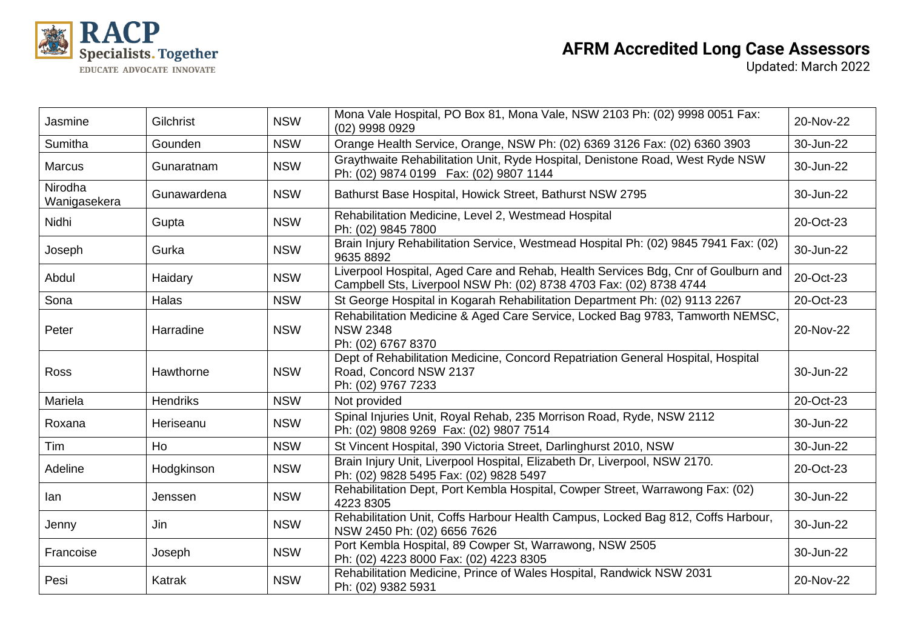

| Jasmine                 | Gilchrist       | <b>NSW</b> | Mona Vale Hospital, PO Box 81, Mona Vale, NSW 2103 Ph: (02) 9998 0051 Fax:<br>(02) 9998 0929                                                            | 20-Nov-22 |
|-------------------------|-----------------|------------|---------------------------------------------------------------------------------------------------------------------------------------------------------|-----------|
| Sumitha                 | Gounden         | <b>NSW</b> | Orange Health Service, Orange, NSW Ph: (02) 6369 3126 Fax: (02) 6360 3903                                                                               | 30-Jun-22 |
| <b>Marcus</b>           | Gunaratnam      | <b>NSW</b> | Graythwaite Rehabilitation Unit, Ryde Hospital, Denistone Road, West Ryde NSW<br>Ph: (02) 9874 0199  Fax: (02) 9807 1144                                | 30-Jun-22 |
| Nirodha<br>Wanigasekera | Gunawardena     | <b>NSW</b> | Bathurst Base Hospital, Howick Street, Bathurst NSW 2795                                                                                                | 30-Jun-22 |
| Nidhi                   | Gupta           | <b>NSW</b> | Rehabilitation Medicine, Level 2, Westmead Hospital<br>Ph: (02) 9845 7800                                                                               | 20-Oct-23 |
| Joseph                  | Gurka           | <b>NSW</b> | Brain Injury Rehabilitation Service, Westmead Hospital Ph: (02) 9845 7941 Fax: (02)<br>9635 8892                                                        | 30-Jun-22 |
| Abdul                   | Haidary         | <b>NSW</b> | Liverpool Hospital, Aged Care and Rehab, Health Services Bdg, Cnr of Goulburn and<br>Campbell Sts, Liverpool NSW Ph: (02) 8738 4703 Fax: (02) 8738 4744 | 20-Oct-23 |
| Sona                    | Halas           | <b>NSW</b> | St George Hospital in Kogarah Rehabilitation Department Ph: (02) 9113 2267                                                                              | 20-Oct-23 |
| Peter                   | Harradine       | <b>NSW</b> | Rehabilitation Medicine & Aged Care Service, Locked Bag 9783, Tamworth NEMSC,<br><b>NSW 2348</b><br>Ph: (02) 6767 8370                                  | 20-Nov-22 |
| Ross                    | Hawthorne       | <b>NSW</b> | Dept of Rehabilitation Medicine, Concord Repatriation General Hospital, Hospital<br>Road, Concord NSW 2137<br>Ph: (02) 9767 7233                        | 30-Jun-22 |
| Mariela                 | <b>Hendriks</b> | <b>NSW</b> | Not provided                                                                                                                                            | 20-Oct-23 |
| Roxana                  | Heriseanu       | <b>NSW</b> | Spinal Injuries Unit, Royal Rehab, 235 Morrison Road, Ryde, NSW 2112<br>Ph: (02) 9808 9269 Fax: (02) 9807 7514                                          | 30-Jun-22 |
| Tim                     | Ho              | <b>NSW</b> | St Vincent Hospital, 390 Victoria Street, Darlinghurst 2010, NSW                                                                                        | 30-Jun-22 |
| Adeline                 | Hodgkinson      | <b>NSW</b> | Brain Injury Unit, Liverpool Hospital, Elizabeth Dr, Liverpool, NSW 2170.<br>Ph: (02) 9828 5495 Fax: (02) 9828 5497                                     | 20-Oct-23 |
| lan                     | Jenssen         | <b>NSW</b> | Rehabilitation Dept, Port Kembla Hospital, Cowper Street, Warrawong Fax: (02)<br>4223 8305                                                              | 30-Jun-22 |
| Jenny                   | Jin             | <b>NSW</b> | Rehabilitation Unit, Coffs Harbour Health Campus, Locked Bag 812, Coffs Harbour,<br>NSW 2450 Ph: (02) 6656 7626                                         | 30-Jun-22 |
| Francoise               | Joseph          | <b>NSW</b> | Port Kembla Hospital, 89 Cowper St, Warrawong, NSW 2505<br>Ph: (02) 4223 8000 Fax: (02) 4223 8305                                                       | 30-Jun-22 |
| Pesi                    | Katrak          | <b>NSW</b> | Rehabilitation Medicine, Prince of Wales Hospital, Randwick NSW 2031<br>Ph: (02) 9382 5931                                                              | 20-Nov-22 |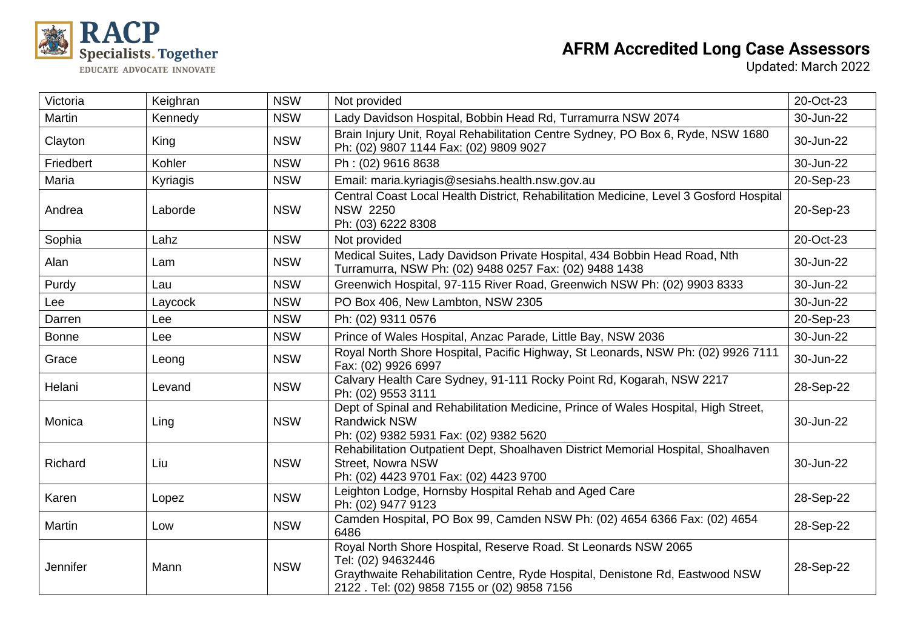

| Victoria     | Keighran | <b>NSW</b> | Not provided                                                                                                                                                                                                         | 20-Oct-23 |
|--------------|----------|------------|----------------------------------------------------------------------------------------------------------------------------------------------------------------------------------------------------------------------|-----------|
| Martin       | Kennedy  | <b>NSW</b> | Lady Davidson Hospital, Bobbin Head Rd, Turramurra NSW 2074                                                                                                                                                          | 30-Jun-22 |
| Clayton      | King     | <b>NSW</b> | Brain Injury Unit, Royal Rehabilitation Centre Sydney, PO Box 6, Ryde, NSW 1680<br>Ph: (02) 9807 1144 Fax: (02) 9809 9027                                                                                            | 30-Jun-22 |
| Friedbert    | Kohler   | <b>NSW</b> | Ph: (02) 9616 8638                                                                                                                                                                                                   | 30-Jun-22 |
| Maria        | Kyriagis | <b>NSW</b> | Email: maria.kyriagis@sesiahs.health.nsw.gov.au                                                                                                                                                                      | 20-Sep-23 |
| Andrea       | Laborde  | <b>NSW</b> | Central Coast Local Health District, Rehabilitation Medicine, Level 3 Gosford Hospital<br><b>NSW 2250</b><br>Ph: (03) 6222 8308                                                                                      | 20-Sep-23 |
| Sophia       | Lahz     | <b>NSW</b> | Not provided                                                                                                                                                                                                         | 20-Oct-23 |
| Alan         | Lam      | <b>NSW</b> | Medical Suites, Lady Davidson Private Hospital, 434 Bobbin Head Road, Nth<br>Turramurra, NSW Ph: (02) 9488 0257 Fax: (02) 9488 1438                                                                                  | 30-Jun-22 |
| Purdy        | Lau      | <b>NSW</b> | Greenwich Hospital, 97-115 River Road, Greenwich NSW Ph: (02) 9903 8333                                                                                                                                              | 30-Jun-22 |
| Lee          | Laycock  | <b>NSW</b> | PO Box 406, New Lambton, NSW 2305                                                                                                                                                                                    | 30-Jun-22 |
| Darren       | Lee      | <b>NSW</b> | Ph: (02) 9311 0576                                                                                                                                                                                                   | 20-Sep-23 |
| <b>Bonne</b> | Lee      | <b>NSW</b> | Prince of Wales Hospital, Anzac Parade, Little Bay, NSW 2036                                                                                                                                                         | 30-Jun-22 |
| Grace        | Leong    | <b>NSW</b> | Royal North Shore Hospital, Pacific Highway, St Leonards, NSW Ph: (02) 9926 7111<br>Fax: (02) 9926 6997                                                                                                              | 30-Jun-22 |
| Helani       | Levand   | <b>NSW</b> | Calvary Health Care Sydney, 91-111 Rocky Point Rd, Kogarah, NSW 2217<br>Ph: (02) 9553 3111                                                                                                                           | 28-Sep-22 |
| Monica       | Ling     | <b>NSW</b> | Dept of Spinal and Rehabilitation Medicine, Prince of Wales Hospital, High Street,<br><b>Randwick NSW</b><br>Ph: (02) 9382 5931 Fax: (02) 9382 5620                                                                  | 30-Jun-22 |
| Richard      | Liu      | <b>NSW</b> | Rehabilitation Outpatient Dept, Shoalhaven District Memorial Hospital, Shoalhaven<br>Street, Nowra NSW<br>Ph: (02) 4423 9701 Fax: (02) 4423 9700                                                                     | 30-Jun-22 |
| Karen        | Lopez    | <b>NSW</b> | Leighton Lodge, Hornsby Hospital Rehab and Aged Care<br>Ph: (02) 9477 9123                                                                                                                                           | 28-Sep-22 |
| Martin       | Low      | <b>NSW</b> | Camden Hospital, PO Box 99, Camden NSW Ph: (02) 4654 6366 Fax: (02) 4654<br>6486                                                                                                                                     | 28-Sep-22 |
| Jennifer     | Mann     | <b>NSW</b> | Royal North Shore Hospital, Reserve Road. St Leonards NSW 2065<br>Tel: (02) 94632446<br>Graythwaite Rehabilitation Centre, Ryde Hospital, Denistone Rd, Eastwood NSW<br>2122 . Tel: (02) 9858 7155 or (02) 9858 7156 | 28-Sep-22 |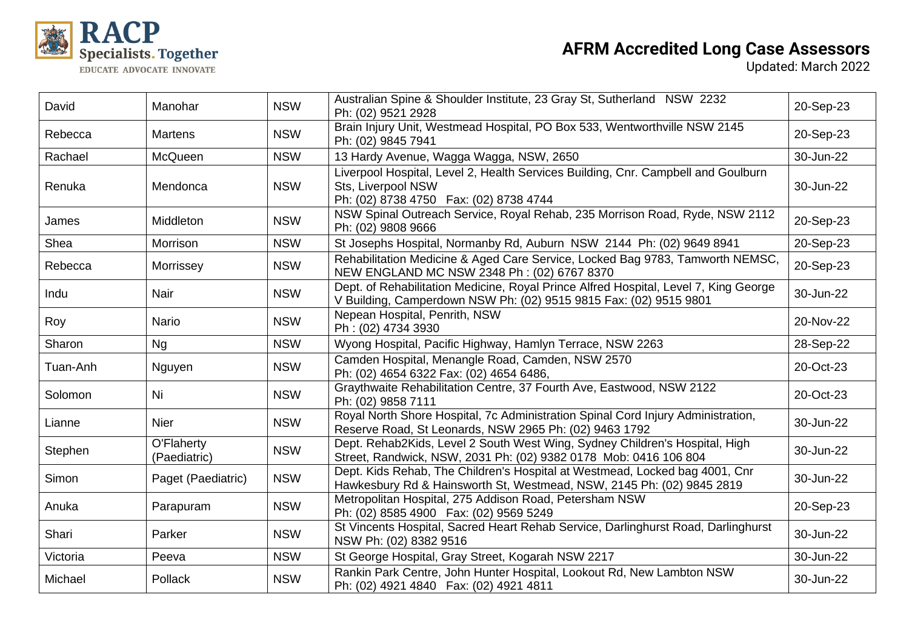

| David    | Manohar                    | <b>NSW</b> | Australian Spine & Shoulder Institute, 23 Gray St, Sutherland NSW 2232<br>Ph: (02) 9521 2928                                                              | 20-Sep-23 |
|----------|----------------------------|------------|-----------------------------------------------------------------------------------------------------------------------------------------------------------|-----------|
| Rebecca  | <b>Martens</b>             | <b>NSW</b> | Brain Injury Unit, Westmead Hospital, PO Box 533, Wentworthville NSW 2145<br>Ph: (02) 9845 7941                                                           | 20-Sep-23 |
| Rachael  | McQueen                    | <b>NSW</b> | 13 Hardy Avenue, Wagga Wagga, NSW, 2650                                                                                                                   | 30-Jun-22 |
| Renuka   | Mendonca                   | <b>NSW</b> | Liverpool Hospital, Level 2, Health Services Building, Cnr. Campbell and Goulburn<br>Sts, Liverpool NSW<br>Ph: (02) 8738 4750  Fax: (02) 8738 4744        | 30-Jun-22 |
| James    | Middleton                  | <b>NSW</b> | NSW Spinal Outreach Service, Royal Rehab, 235 Morrison Road, Ryde, NSW 2112<br>Ph: (02) 9808 9666                                                         | 20-Sep-23 |
| Shea     | Morrison                   | <b>NSW</b> | St Josephs Hospital, Normanby Rd, Auburn NSW 2144 Ph: (02) 9649 8941                                                                                      | 20-Sep-23 |
| Rebecca  | Morrissey                  | <b>NSW</b> | Rehabilitation Medicine & Aged Care Service, Locked Bag 9783, Tamworth NEMSC,<br>NEW ENGLAND MC NSW 2348 Ph: (02) 6767 8370                               | 20-Sep-23 |
| Indu     | Nair                       | <b>NSW</b> | Dept. of Rehabilitation Medicine, Royal Prince Alfred Hospital, Level 7, King George<br>V Building, Camperdown NSW Ph: (02) 9515 9815 Fax: (02) 9515 9801 | 30-Jun-22 |
| Roy      | <b>Nario</b>               | <b>NSW</b> | Nepean Hospital, Penrith, NSW<br>Ph: (02) 4734 3930                                                                                                       | 20-Nov-22 |
| Sharon   | <b>Ng</b>                  | <b>NSW</b> | Wyong Hospital, Pacific Highway, Hamlyn Terrace, NSW 2263                                                                                                 | 28-Sep-22 |
| Tuan-Anh | Nguyen                     | <b>NSW</b> | Camden Hospital, Menangle Road, Camden, NSW 2570<br>Ph: (02) 4654 6322 Fax: (02) 4654 6486,                                                               | 20-Oct-23 |
| Solomon  | Ni                         | <b>NSW</b> | Graythwaite Rehabilitation Centre, 37 Fourth Ave, Eastwood, NSW 2122<br>Ph: (02) 9858 7111                                                                | 20-Oct-23 |
| Lianne   | <b>Nier</b>                | <b>NSW</b> | Royal North Shore Hospital, 7c Administration Spinal Cord Injury Administration,<br>Reserve Road, St Leonards, NSW 2965 Ph: (02) 9463 1792                | 30-Jun-22 |
| Stephen  | O'Flaherty<br>(Paediatric) | <b>NSW</b> | Dept. Rehab2Kids, Level 2 South West Wing, Sydney Children's Hospital, High<br>Street, Randwick, NSW, 2031 Ph: (02) 9382 0178 Mob: 0416 106 804           | 30-Jun-22 |
| Simon    | Paget (Paediatric)         | <b>NSW</b> | Dept. Kids Rehab, The Children's Hospital at Westmead, Locked bag 4001, Cnr<br>Hawkesbury Rd & Hainsworth St, Westmead, NSW, 2145 Ph: (02) 9845 2819      | 30-Jun-22 |
| Anuka    | Parapuram                  | <b>NSW</b> | Metropolitan Hospital, 275 Addison Road, Petersham NSW<br>Ph: (02) 8585 4900  Fax: (02) 9569 5249                                                         | 20-Sep-23 |
| Shari    | Parker                     | <b>NSW</b> | St Vincents Hospital, Sacred Heart Rehab Service, Darlinghurst Road, Darlinghurst<br>NSW Ph: (02) 8382 9516                                               | 30-Jun-22 |
| Victoria | Peeva                      | <b>NSW</b> | St George Hospital, Gray Street, Kogarah NSW 2217                                                                                                         | 30-Jun-22 |
| Michael  | Pollack                    | <b>NSW</b> | Rankin Park Centre, John Hunter Hospital, Lookout Rd, New Lambton NSW<br>Ph: (02) 4921 4840  Fax: (02) 4921 4811                                          | 30-Jun-22 |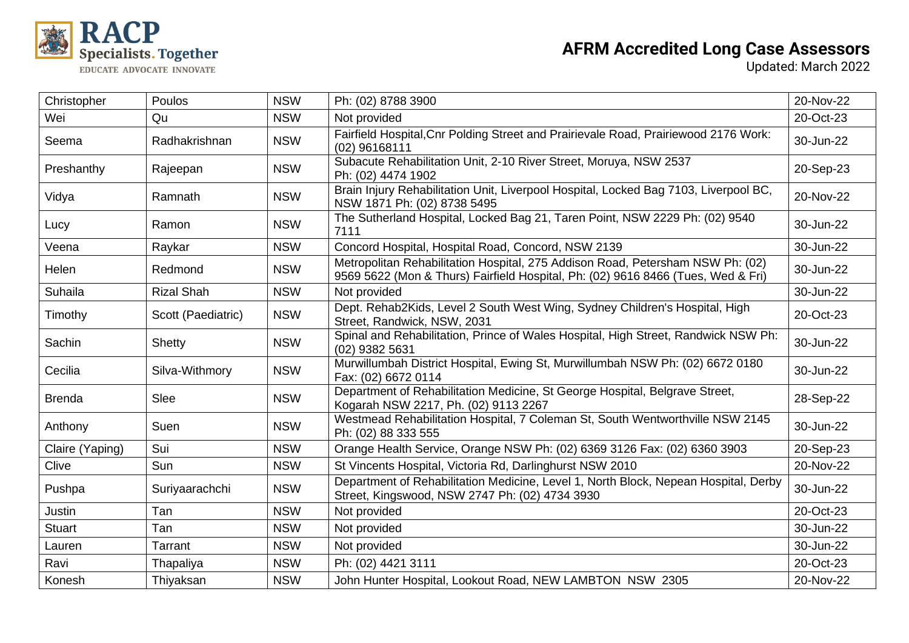

| Christopher     | Poulos             | <b>NSW</b> | Ph: (02) 8788 3900                                                                                                                                                 | 20-Nov-22 |
|-----------------|--------------------|------------|--------------------------------------------------------------------------------------------------------------------------------------------------------------------|-----------|
| Wei             | Qu                 | <b>NSW</b> | Not provided                                                                                                                                                       | 20-Oct-23 |
| Seema           | Radhakrishnan      | <b>NSW</b> | Fairfield Hospital, Cnr Polding Street and Prairievale Road, Prairiewood 2176 Work:<br>(02) 96168111                                                               | 30-Jun-22 |
| Preshanthy      | Rajeepan           | <b>NSW</b> | Subacute Rehabilitation Unit, 2-10 River Street, Moruya, NSW 2537<br>Ph: (02) 4474 1902                                                                            | 20-Sep-23 |
| Vidya           | Ramnath            | <b>NSW</b> | Brain Injury Rehabilitation Unit, Liverpool Hospital, Locked Bag 7103, Liverpool BC,<br>NSW 1871 Ph: (02) 8738 5495                                                | 20-Nov-22 |
| Lucy            | Ramon              | <b>NSW</b> | The Sutherland Hospital, Locked Bag 21, Taren Point, NSW 2229 Ph: (02) 9540<br>7111                                                                                | 30-Jun-22 |
| Veena           | Raykar             | <b>NSW</b> | Concord Hospital, Hospital Road, Concord, NSW 2139                                                                                                                 | 30-Jun-22 |
| Helen           | Redmond            | <b>NSW</b> | Metropolitan Rehabilitation Hospital, 275 Addison Road, Petersham NSW Ph: (02)<br>9569 5622 (Mon & Thurs) Fairfield Hospital, Ph: (02) 9616 8466 (Tues, Wed & Fri) | 30-Jun-22 |
| Suhaila         | <b>Rizal Shah</b>  | <b>NSW</b> | Not provided                                                                                                                                                       | 30-Jun-22 |
| Timothy         | Scott (Paediatric) | <b>NSW</b> | Dept. Rehab2Kids, Level 2 South West Wing, Sydney Children's Hospital, High<br>Street, Randwick, NSW, 2031                                                         | 20-Oct-23 |
| Sachin          | Shetty             | <b>NSW</b> | Spinal and Rehabilitation, Prince of Wales Hospital, High Street, Randwick NSW Ph:<br>(02) 9382 5631                                                               | 30-Jun-22 |
| Cecilia         | Silva-Withmory     | <b>NSW</b> | Murwillumbah District Hospital, Ewing St, Murwillumbah NSW Ph: (02) 6672 0180<br>Fax: (02) 6672 0114                                                               | 30-Jun-22 |
| <b>Brenda</b>   | Slee               | <b>NSW</b> | Department of Rehabilitation Medicine, St George Hospital, Belgrave Street,<br>Kogarah NSW 2217, Ph. (02) 9113 2267                                                | 28-Sep-22 |
| Anthony         | Suen               | <b>NSW</b> | Westmead Rehabilitation Hospital, 7 Coleman St, South Wentworthville NSW 2145<br>Ph: (02) 88 333 555                                                               | 30-Jun-22 |
| Claire (Yaping) | Sui                | <b>NSW</b> | Orange Health Service, Orange NSW Ph: (02) 6369 3126 Fax: (02) 6360 3903                                                                                           | 20-Sep-23 |
| Clive           | Sun                | <b>NSW</b> | St Vincents Hospital, Victoria Rd, Darlinghurst NSW 2010                                                                                                           | 20-Nov-22 |
| Pushpa          | Suriyaarachchi     | <b>NSW</b> | Department of Rehabilitation Medicine, Level 1, North Block, Nepean Hospital, Derby<br>Street, Kingswood, NSW 2747 Ph: (02) 4734 3930                              | 30-Jun-22 |
| Justin          | Tan                | <b>NSW</b> | Not provided                                                                                                                                                       | 20-Oct-23 |
| <b>Stuart</b>   | Tan                | <b>NSW</b> | Not provided                                                                                                                                                       | 30-Jun-22 |
| Lauren          | Tarrant            | <b>NSW</b> | Not provided                                                                                                                                                       | 30-Jun-22 |
| Ravi            | Thapaliya          | <b>NSW</b> | Ph: (02) 4421 3111                                                                                                                                                 | 20-Oct-23 |
| Konesh          | Thiyaksan          | <b>NSW</b> | John Hunter Hospital, Lookout Road, NEW LAMBTON NSW 2305                                                                                                           | 20-Nov-22 |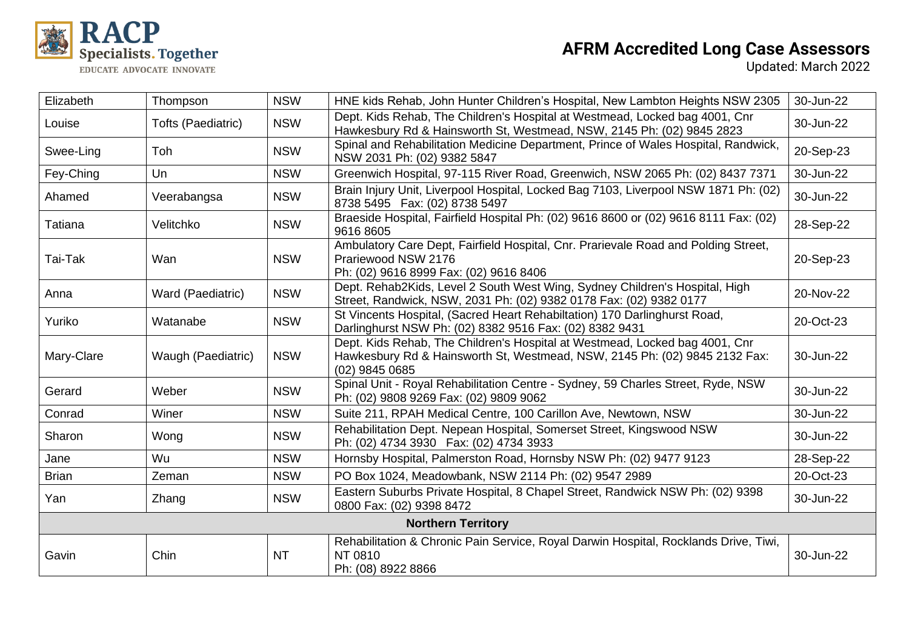

| Elizabeth                 | Thompson           | <b>NSW</b> | HNE kids Rehab, John Hunter Children's Hospital, New Lambton Heights NSW 2305                                                                                               | 30-Jun-22 |  |
|---------------------------|--------------------|------------|-----------------------------------------------------------------------------------------------------------------------------------------------------------------------------|-----------|--|
| Louise                    | Tofts (Paediatric) | <b>NSW</b> | Dept. Kids Rehab, The Children's Hospital at Westmead, Locked bag 4001, Cnr<br>Hawkesbury Rd & Hainsworth St, Westmead, NSW, 2145 Ph: (02) 9845 2823                        | 30-Jun-22 |  |
| Swee-Ling                 | Toh                | <b>NSW</b> | Spinal and Rehabilitation Medicine Department, Prince of Wales Hospital, Randwick,<br>NSW 2031 Ph: (02) 9382 5847                                                           | 20-Sep-23 |  |
| Fey-Ching                 | Un                 | <b>NSW</b> | Greenwich Hospital, 97-115 River Road, Greenwich, NSW 2065 Ph: (02) 8437 7371                                                                                               | 30-Jun-22 |  |
| Ahamed                    | Veerabangsa        | <b>NSW</b> | Brain Injury Unit, Liverpool Hospital, Locked Bag 7103, Liverpool NSW 1871 Ph: (02)<br>8738 5495  Fax: (02) 8738 5497                                                       | 30-Jun-22 |  |
| Tatiana                   | Velitchko          | <b>NSW</b> | Braeside Hospital, Fairfield Hospital Ph: (02) 9616 8600 or (02) 9616 8111 Fax: (02)<br>9616 8605                                                                           | 28-Sep-22 |  |
| Tai-Tak                   | Wan                | <b>NSW</b> | Ambulatory Care Dept, Fairfield Hospital, Cnr. Prarievale Road and Polding Street,<br>Prariewood NSW 2176<br>Ph: (02) 9616 8999 Fax: (02) 9616 8406                         | 20-Sep-23 |  |
| Anna                      | Ward (Paediatric)  | <b>NSW</b> | Dept. Rehab2Kids, Level 2 South West Wing, Sydney Children's Hospital, High<br>Street, Randwick, NSW, 2031 Ph: (02) 9382 0178 Fax: (02) 9382 0177                           | 20-Nov-22 |  |
| Yuriko                    | Watanabe           | <b>NSW</b> | St Vincents Hospital, (Sacred Heart Rehabiltation) 170 Darlinghurst Road,<br>Darlinghurst NSW Ph: (02) 8382 9516 Fax: (02) 8382 9431                                        | 20-Oct-23 |  |
| Mary-Clare                | Waugh (Paediatric) | <b>NSW</b> | Dept. Kids Rehab, The Children's Hospital at Westmead, Locked bag 4001, Cnr<br>Hawkesbury Rd & Hainsworth St, Westmead, NSW, 2145 Ph: (02) 9845 2132 Fax:<br>(02) 9845 0685 | 30-Jun-22 |  |
| Gerard                    | Weber              | <b>NSW</b> | Spinal Unit - Royal Rehabilitation Centre - Sydney, 59 Charles Street, Ryde, NSW<br>Ph: (02) 9808 9269 Fax: (02) 9809 9062                                                  | 30-Jun-22 |  |
| Conrad                    | Winer              | <b>NSW</b> | Suite 211, RPAH Medical Centre, 100 Carillon Ave, Newtown, NSW                                                                                                              | 30-Jun-22 |  |
| Sharon                    | Wong               | <b>NSW</b> | Rehabilitation Dept. Nepean Hospital, Somerset Street, Kingswood NSW<br>Ph: (02) 4734 3930  Fax: (02) 4734 3933                                                             | 30-Jun-22 |  |
| Jane                      | Wu                 | <b>NSW</b> | Hornsby Hospital, Palmerston Road, Hornsby NSW Ph: (02) 9477 9123                                                                                                           | 28-Sep-22 |  |
| <b>Brian</b>              | Zeman              | <b>NSW</b> | PO Box 1024, Meadowbank, NSW 2114 Ph: (02) 9547 2989                                                                                                                        | 20-Oct-23 |  |
| Yan                       | Zhang              | <b>NSW</b> | Eastern Suburbs Private Hospital, 8 Chapel Street, Randwick NSW Ph: (02) 9398<br>0800 Fax: (02) 9398 8472                                                                   | 30-Jun-22 |  |
| <b>Northern Territory</b> |                    |            |                                                                                                                                                                             |           |  |
| Gavin                     | Chin               | <b>NT</b>  | Rehabilitation & Chronic Pain Service, Royal Darwin Hospital, Rocklands Drive, Tiwi,<br>NT 0810<br>Ph: (08) 8922 8866                                                       | 30-Jun-22 |  |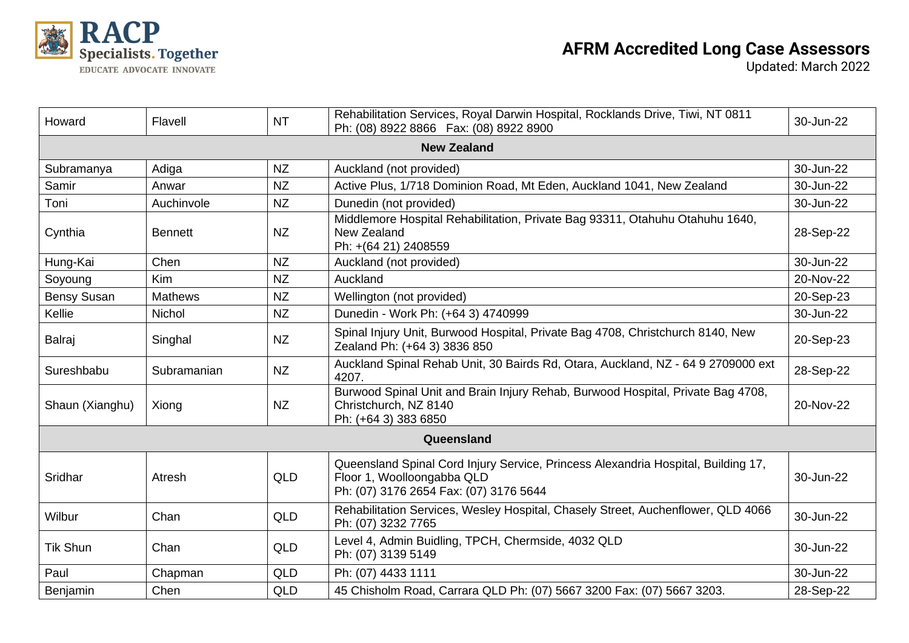

| Howard             | Flavell        | <b>NT</b>  | Rehabilitation Services, Royal Darwin Hospital, Rocklands Drive, Tiwi, NT 0811<br>Ph: (08) 8922 8866  Fax: (08) 8922 8900                                 | 30-Jun-22 |  |  |
|--------------------|----------------|------------|-----------------------------------------------------------------------------------------------------------------------------------------------------------|-----------|--|--|
| <b>New Zealand</b> |                |            |                                                                                                                                                           |           |  |  |
| Subramanya         | Adiga          | <b>NZ</b>  | Auckland (not provided)                                                                                                                                   | 30-Jun-22 |  |  |
| Samir              | Anwar          | <b>NZ</b>  | Active Plus, 1/718 Dominion Road, Mt Eden, Auckland 1041, New Zealand                                                                                     | 30-Jun-22 |  |  |
| Toni               | Auchinvole     | <b>NZ</b>  | Dunedin (not provided)                                                                                                                                    | 30-Jun-22 |  |  |
| Cynthia            | <b>Bennett</b> | <b>NZ</b>  | Middlemore Hospital Rehabilitation, Private Bag 93311, Otahuhu Otahuhu 1640,<br>New Zealand<br>Ph: +(64 21) 2408559                                       | 28-Sep-22 |  |  |
| Hung-Kai           | Chen           | <b>NZ</b>  | Auckland (not provided)                                                                                                                                   | 30-Jun-22 |  |  |
| Soyoung            | <b>Kim</b>     | <b>NZ</b>  | Auckland                                                                                                                                                  | 20-Nov-22 |  |  |
| <b>Bensy Susan</b> | <b>Mathews</b> | <b>NZ</b>  | Wellington (not provided)                                                                                                                                 | 20-Sep-23 |  |  |
| Kellie             | Nichol         | <b>NZ</b>  | Dunedin - Work Ph: (+64 3) 4740999                                                                                                                        | 30-Jun-22 |  |  |
| Balraj             | Singhal        | <b>NZ</b>  | Spinal Injury Unit, Burwood Hospital, Private Bag 4708, Christchurch 8140, New<br>Zealand Ph: (+64 3) 3836 850                                            | 20-Sep-23 |  |  |
| Sureshbabu         | Subramanian    | <b>NZ</b>  | Auckland Spinal Rehab Unit, 30 Bairds Rd, Otara, Auckland, NZ - 64 9 2709000 ext<br>4207.                                                                 | 28-Sep-22 |  |  |
| Shaun (Xianghu)    | Xiong          | <b>NZ</b>  | Burwood Spinal Unit and Brain Injury Rehab, Burwood Hospital, Private Bag 4708,<br>Christchurch, NZ 8140<br>Ph: (+64 3) 383 6850                          | 20-Nov-22 |  |  |
|                    |                |            | Queensland                                                                                                                                                |           |  |  |
| Sridhar            | Atresh         | QLD        | Queensland Spinal Cord Injury Service, Princess Alexandria Hospital, Building 17,<br>Floor 1, Woolloongabba QLD<br>Ph: (07) 3176 2654 Fax: (07) 3176 5644 | 30-Jun-22 |  |  |
| Wilbur             | Chan           | QLD        | Rehabilitation Services, Wesley Hospital, Chasely Street, Auchenflower, QLD 4066<br>Ph: (07) 3232 7765                                                    | 30-Jun-22 |  |  |
| <b>Tik Shun</b>    | Chan           | <b>QLD</b> | Level 4, Admin Buidling, TPCH, Chermside, 4032 QLD<br>Ph: (07) 3139 5149                                                                                  | 30-Jun-22 |  |  |
| Paul               | Chapman        | <b>QLD</b> | Ph: (07) 4433 1111                                                                                                                                        | 30-Jun-22 |  |  |
| Benjamin           | Chen           | QLD        | 45 Chisholm Road, Carrara QLD Ph: (07) 5667 3200 Fax: (07) 5667 3203.                                                                                     | 28-Sep-22 |  |  |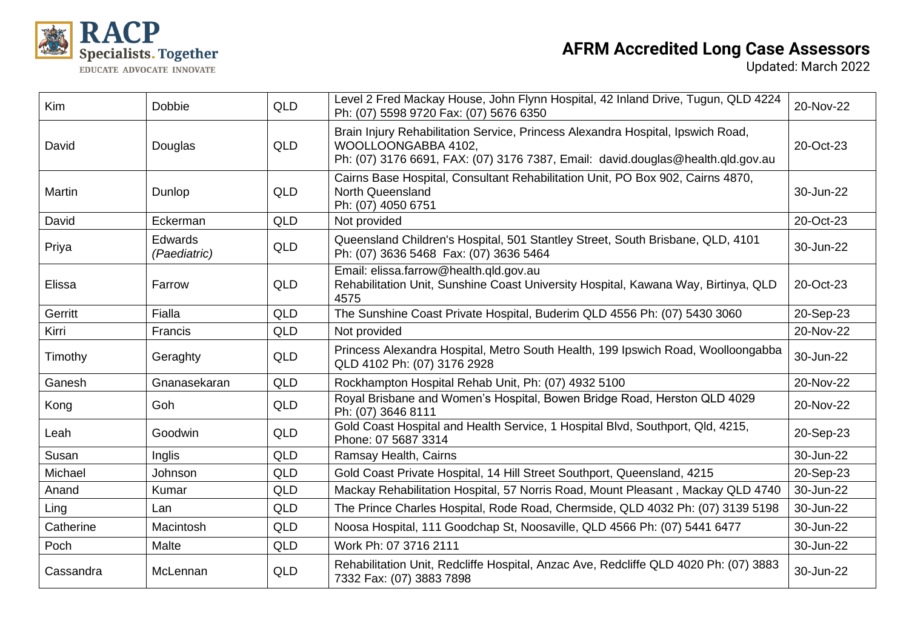

| <b>Kim</b> | Dobbie                         | <b>QLD</b> | Level 2 Fred Mackay House, John Flynn Hospital, 42 Inland Drive, Tugun, QLD 4224<br>Ph: (07) 5598 9720 Fax: (07) 5676 6350                                                                | 20-Nov-22 |
|------------|--------------------------------|------------|-------------------------------------------------------------------------------------------------------------------------------------------------------------------------------------------|-----------|
| David      | Douglas                        | QLD        | Brain Injury Rehabilitation Service, Princess Alexandra Hospital, Ipswich Road,<br>WOOLLOONGABBA 4102,<br>Ph: (07) 3176 6691, FAX: (07) 3176 7387, Email: david.douglas@health.qld.gov.au | 20-Oct-23 |
| Martin     | Dunlop                         | <b>QLD</b> | Cairns Base Hospital, Consultant Rehabilitation Unit, PO Box 902, Cairns 4870,<br>North Queensland<br>Ph: (07) 4050 6751                                                                  | 30-Jun-22 |
| David      | Eckerman                       | <b>QLD</b> | Not provided                                                                                                                                                                              | 20-Oct-23 |
| Priya      | <b>Edwards</b><br>(Paediatric) | QLD        | Queensland Children's Hospital, 501 Stantley Street, South Brisbane, QLD, 4101<br>Ph: (07) 3636 5468 Fax: (07) 3636 5464                                                                  | 30-Jun-22 |
| Elissa     | Farrow                         | <b>QLD</b> | Email: elissa.farrow@health.qld.gov.au<br>Rehabilitation Unit, Sunshine Coast University Hospital, Kawana Way, Birtinya, QLD<br>4575                                                      | 20-Oct-23 |
| Gerritt    | Fialla                         | <b>QLD</b> | The Sunshine Coast Private Hospital, Buderim QLD 4556 Ph: (07) 5430 3060                                                                                                                  | 20-Sep-23 |
| Kirri      | Francis                        | QLD        | Not provided                                                                                                                                                                              | 20-Nov-22 |
| Timothy    | Geraghty                       | <b>QLD</b> | Princess Alexandra Hospital, Metro South Health, 199 Ipswich Road, Woolloongabba<br>QLD 4102 Ph: (07) 3176 2928                                                                           | 30-Jun-22 |
| Ganesh     | Gnanasekaran                   | <b>QLD</b> | Rockhampton Hospital Rehab Unit, Ph: (07) 4932 5100                                                                                                                                       | 20-Nov-22 |
| Kong       | Goh                            | <b>QLD</b> | Royal Brisbane and Women's Hospital, Bowen Bridge Road, Herston QLD 4029<br>Ph: (07) 3646 8111                                                                                            | 20-Nov-22 |
| Leah       | Goodwin                        | <b>QLD</b> | Gold Coast Hospital and Health Service, 1 Hospital Blvd, Southport, Qld, 4215,<br>Phone: 07 5687 3314                                                                                     | 20-Sep-23 |
| Susan      | Inglis                         | <b>QLD</b> | Ramsay Health, Cairns                                                                                                                                                                     | 30-Jun-22 |
| Michael    | Johnson                        | <b>QLD</b> | Gold Coast Private Hospital, 14 Hill Street Southport, Queensland, 4215                                                                                                                   | 20-Sep-23 |
| Anand      | Kumar                          | <b>QLD</b> | Mackay Rehabilitation Hospital, 57 Norris Road, Mount Pleasant, Mackay QLD 4740                                                                                                           | 30-Jun-22 |
| Ling       | Lan                            | <b>QLD</b> | The Prince Charles Hospital, Rode Road, Chermside, QLD 4032 Ph: (07) 3139 5198                                                                                                            | 30-Jun-22 |
| Catherine  | Macintosh                      | <b>QLD</b> | Noosa Hospital, 111 Goodchap St, Noosaville, QLD 4566 Ph: (07) 5441 6477                                                                                                                  | 30-Jun-22 |
| Poch       | Malte                          | <b>QLD</b> | Work Ph: 07 3716 2111                                                                                                                                                                     | 30-Jun-22 |
| Cassandra  | McLennan                       | <b>QLD</b> | Rehabilitation Unit, Redcliffe Hospital, Anzac Ave, Redcliffe QLD 4020 Ph: (07) 3883<br>7332 Fax: (07) 3883 7898                                                                          | 30-Jun-22 |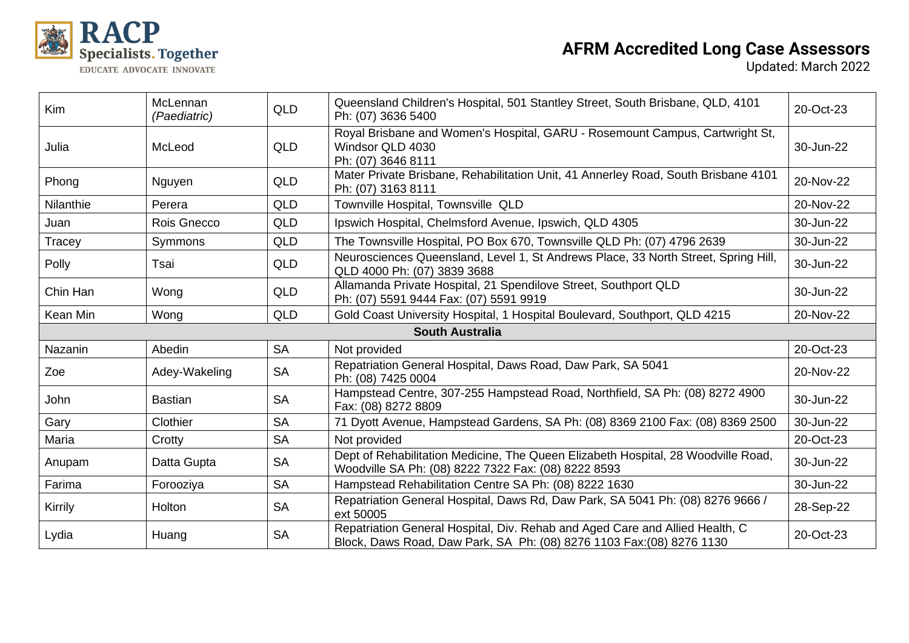

| Kim       | McLennan<br>(Paediatric) | <b>QLD</b> | Queensland Children's Hospital, 501 Stantley Street, South Brisbane, QLD, 4101<br>Ph: (07) 3636 5400                                                  | 20-Oct-23 |
|-----------|--------------------------|------------|-------------------------------------------------------------------------------------------------------------------------------------------------------|-----------|
| Julia     | McLeod                   | <b>QLD</b> | Royal Brisbane and Women's Hospital, GARU - Rosemount Campus, Cartwright St,<br>Windsor QLD 4030<br>Ph: (07) 3646 8111                                | 30-Jun-22 |
| Phong     | Nguyen                   | <b>QLD</b> | Mater Private Brisbane, Rehabilitation Unit, 41 Annerley Road, South Brisbane 4101<br>Ph: (07) 3163 8111                                              | 20-Nov-22 |
| Nilanthie | Perera                   | <b>QLD</b> | Townville Hospital, Townsville QLD                                                                                                                    | 20-Nov-22 |
| Juan      | Rois Gnecco              | <b>QLD</b> | Ipswich Hospital, Chelmsford Avenue, Ipswich, QLD 4305                                                                                                | 30-Jun-22 |
| Tracey    | Symmons                  | <b>QLD</b> | The Townsville Hospital, PO Box 670, Townsville QLD Ph: (07) 4796 2639                                                                                | 30-Jun-22 |
| Polly     | Tsai                     | <b>QLD</b> | Neurosciences Queensland, Level 1, St Andrews Place, 33 North Street, Spring Hill,<br>QLD 4000 Ph: (07) 3839 3688                                     | 30-Jun-22 |
| Chin Han  | Wong                     | <b>QLD</b> | Allamanda Private Hospital, 21 Spendilove Street, Southport QLD<br>Ph: (07) 5591 9444 Fax: (07) 5591 9919                                             | 30-Jun-22 |
| Kean Min  | Wong                     | <b>QLD</b> | Gold Coast University Hospital, 1 Hospital Boulevard, Southport, QLD 4215                                                                             | 20-Nov-22 |
|           |                          |            | <b>South Australia</b>                                                                                                                                |           |
| Nazanin   | Abedin                   | <b>SA</b>  | Not provided                                                                                                                                          | 20-Oct-23 |
| Zoe       | Adey-Wakeling            | <b>SA</b>  | Repatriation General Hospital, Daws Road, Daw Park, SA 5041<br>Ph: (08) 7425 0004                                                                     | 20-Nov-22 |
| John      | <b>Bastian</b>           | <b>SA</b>  | Hampstead Centre, 307-255 Hampstead Road, Northfield, SA Ph: (08) 8272 4900<br>Fax: (08) 8272 8809                                                    | 30-Jun-22 |
| Gary      | Clothier                 | <b>SA</b>  | 71 Dyott Avenue, Hampstead Gardens, SA Ph: (08) 8369 2100 Fax: (08) 8369 2500                                                                         | 30-Jun-22 |
| Maria     | Crotty                   | <b>SA</b>  | Not provided                                                                                                                                          | 20-Oct-23 |
| Anupam    | Datta Gupta              | <b>SA</b>  | Dept of Rehabilitation Medicine, The Queen Elizabeth Hospital, 28 Woodville Road,<br>Woodville SA Ph: (08) 8222 7322 Fax: (08) 8222 8593              | 30-Jun-22 |
| Farima    | Forooziya                | <b>SA</b>  | Hampstead Rehabilitation Centre SA Ph: (08) 8222 1630                                                                                                 | 30-Jun-22 |
| Kirrily   | <b>Holton</b>            | <b>SA</b>  | Repatriation General Hospital, Daws Rd, Daw Park, SA 5041 Ph: (08) 8276 9666 /<br>ext 50005                                                           | 28-Sep-22 |
| Lydia     | Huang                    | <b>SA</b>  | Repatriation General Hospital, Div. Rehab and Aged Care and Allied Health, C<br>Block, Daws Road, Daw Park, SA Ph: (08) 8276 1103 Fax: (08) 8276 1130 | 20-Oct-23 |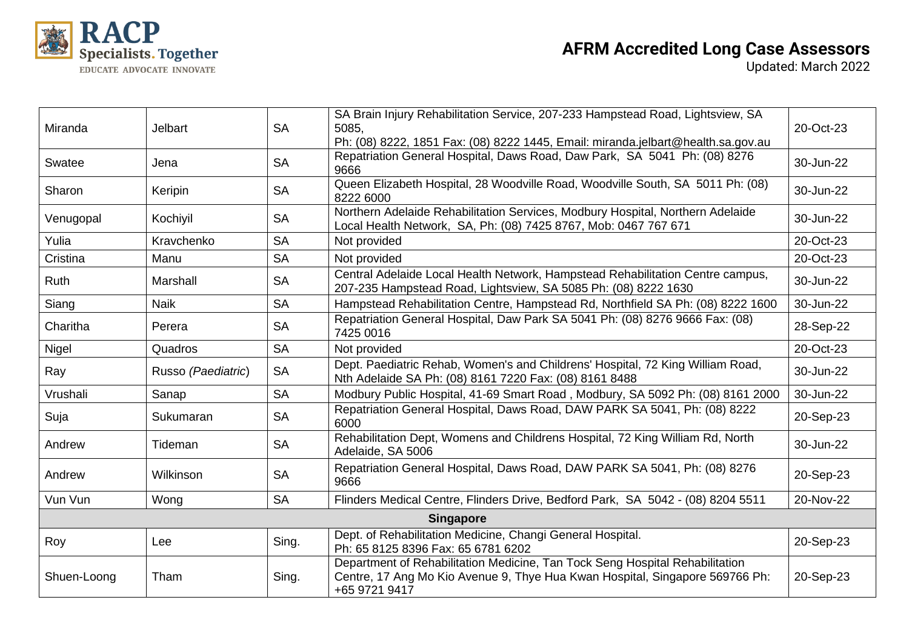

| Miranda     | <b>Jelbart</b>     | <b>SA</b> | SA Brain Injury Rehabilitation Service, 207-233 Hampstead Road, Lightsview, SA<br>5085.<br>Ph: (08) 8222, 1851 Fax: (08) 8222 1445, Email: miranda.jelbart@health.sa.gov.au   | 20-Oct-23 |  |  |
|-------------|--------------------|-----------|-------------------------------------------------------------------------------------------------------------------------------------------------------------------------------|-----------|--|--|
| Swatee      | Jena               | <b>SA</b> | Repatriation General Hospital, Daws Road, Daw Park, SA 5041 Ph: (08) 8276<br>9666                                                                                             | 30-Jun-22 |  |  |
| Sharon      | Keripin            | <b>SA</b> | Queen Elizabeth Hospital, 28 Woodville Road, Woodville South, SA 5011 Ph: (08)<br>8222 6000                                                                                   | 30-Jun-22 |  |  |
| Venugopal   | Kochiyil           | <b>SA</b> | Northern Adelaide Rehabilitation Services, Modbury Hospital, Northern Adelaide<br>Local Health Network, SA, Ph: (08) 7425 8767, Mob: 0467 767 671                             | 30-Jun-22 |  |  |
| Yulia       | Kravchenko         | <b>SA</b> | Not provided                                                                                                                                                                  | 20-Oct-23 |  |  |
| Cristina    | Manu               | <b>SA</b> | Not provided                                                                                                                                                                  | 20-Oct-23 |  |  |
| Ruth        | Marshall           | <b>SA</b> | Central Adelaide Local Health Network, Hampstead Rehabilitation Centre campus,<br>207-235 Hampstead Road, Lightsview, SA 5085 Ph: (08) 8222 1630                              | 30-Jun-22 |  |  |
| Siang       | <b>Naik</b>        | <b>SA</b> | Hampstead Rehabilitation Centre, Hampstead Rd, Northfield SA Ph: (08) 8222 1600                                                                                               | 30-Jun-22 |  |  |
| Charitha    | Perera             | <b>SA</b> | Repatriation General Hospital, Daw Park SA 5041 Ph: (08) 8276 9666 Fax: (08)<br>7425 0016                                                                                     | 28-Sep-22 |  |  |
| Nigel       | Quadros            | <b>SA</b> | Not provided                                                                                                                                                                  | 20-Oct-23 |  |  |
| Ray         | Russo (Paediatric) | <b>SA</b> | Dept. Paediatric Rehab, Women's and Childrens' Hospital, 72 King William Road,<br>Nth Adelaide SA Ph: (08) 8161 7220 Fax: (08) 8161 8488                                      | 30-Jun-22 |  |  |
| Vrushali    | Sanap              | <b>SA</b> | Modbury Public Hospital, 41-69 Smart Road, Modbury, SA 5092 Ph: (08) 8161 2000                                                                                                | 30-Jun-22 |  |  |
| Suja        | Sukumaran          | <b>SA</b> | Repatriation General Hospital, Daws Road, DAW PARK SA 5041, Ph: (08) 8222<br>6000                                                                                             | 20-Sep-23 |  |  |
| Andrew      | Tideman            | <b>SA</b> | Rehabilitation Dept, Womens and Childrens Hospital, 72 King William Rd, North<br>Adelaide, SA 5006                                                                            | 30-Jun-22 |  |  |
| Andrew      | Wilkinson          | <b>SA</b> | Repatriation General Hospital, Daws Road, DAW PARK SA 5041, Ph: (08) 8276<br>9666                                                                                             | 20-Sep-23 |  |  |
| Vun Vun     | Wong               | <b>SA</b> | Flinders Medical Centre, Flinders Drive, Bedford Park, SA 5042 - (08) 8204 5511                                                                                               | 20-Nov-22 |  |  |
|             | <b>Singapore</b>   |           |                                                                                                                                                                               |           |  |  |
| Roy         | Lee                | Sing.     | Dept. of Rehabilitation Medicine, Changi General Hospital.<br>Ph: 65 8125 8396 Fax: 65 6781 6202                                                                              | 20-Sep-23 |  |  |
| Shuen-Loong | Tham               | Sing.     | Department of Rehabilitation Medicine, Tan Tock Seng Hospital Rehabilitation<br>Centre, 17 Ang Mo Kio Avenue 9, Thye Hua Kwan Hospital, Singapore 569766 Ph:<br>+65 9721 9417 | 20-Sep-23 |  |  |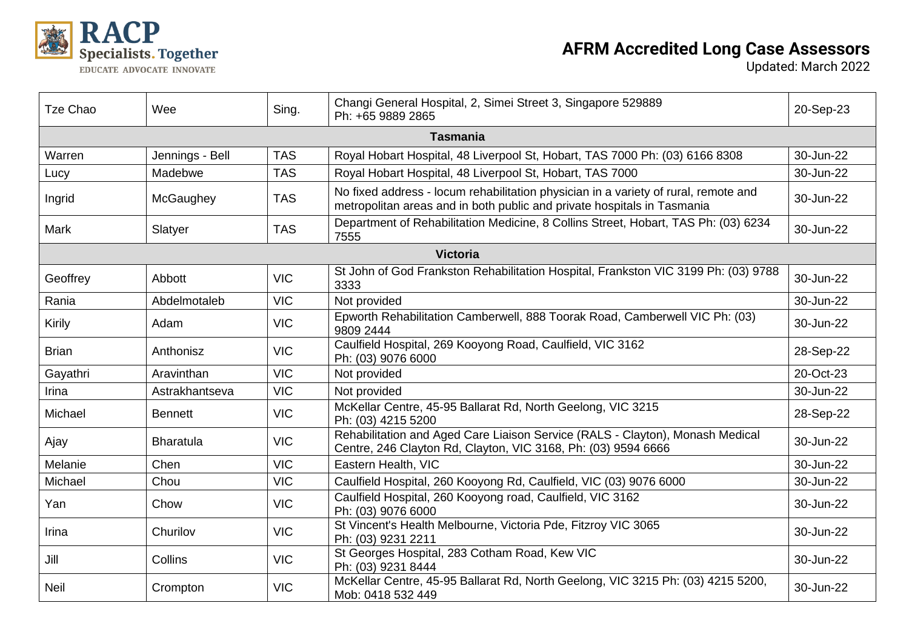

## **AFRM Accredited Long Case Assessors**

| Tze Chao     | Wee              | Sing.      | Changi General Hospital, 2, Simei Street 3, Singapore 529889<br>Ph: +65 9889 2865                                                                              | 20-Sep-23 |  |  |  |
|--------------|------------------|------------|----------------------------------------------------------------------------------------------------------------------------------------------------------------|-----------|--|--|--|
|              | <b>Tasmania</b>  |            |                                                                                                                                                                |           |  |  |  |
| Warren       | Jennings - Bell  | <b>TAS</b> | Royal Hobart Hospital, 48 Liverpool St, Hobart, TAS 7000 Ph: (03) 6166 8308                                                                                    | 30-Jun-22 |  |  |  |
| Lucy         | Madebwe          | <b>TAS</b> | Royal Hobart Hospital, 48 Liverpool St, Hobart, TAS 7000                                                                                                       | 30-Jun-22 |  |  |  |
| Ingrid       | McGaughey        | <b>TAS</b> | No fixed address - locum rehabilitation physician in a variety of rural, remote and<br>metropolitan areas and in both public and private hospitals in Tasmania | 30-Jun-22 |  |  |  |
| Mark         | Slatyer          | <b>TAS</b> | Department of Rehabilitation Medicine, 8 Collins Street, Hobart, TAS Ph: (03) 6234<br>7555                                                                     | 30-Jun-22 |  |  |  |
|              |                  |            | <b>Victoria</b>                                                                                                                                                |           |  |  |  |
| Geoffrey     | Abbott           | <b>VIC</b> | St John of God Frankston Rehabilitation Hospital, Frankston VIC 3199 Ph: (03) 9788<br>3333                                                                     | 30-Jun-22 |  |  |  |
| Rania        | Abdelmotaleb     | <b>VIC</b> | Not provided                                                                                                                                                   | 30-Jun-22 |  |  |  |
| Kirily       | Adam             | <b>VIC</b> | Epworth Rehabilitation Camberwell, 888 Toorak Road, Camberwell VIC Ph: (03)<br>9809 2444                                                                       | 30-Jun-22 |  |  |  |
| <b>Brian</b> | Anthonisz        | <b>VIC</b> | Caulfield Hospital, 269 Kooyong Road, Caulfield, VIC 3162<br>Ph: (03) 9076 6000                                                                                | 28-Sep-22 |  |  |  |
| Gayathri     | Aravinthan       | <b>VIC</b> | Not provided                                                                                                                                                   | 20-Oct-23 |  |  |  |
| Irina        | Astrakhantseva   | <b>VIC</b> | Not provided                                                                                                                                                   | 30-Jun-22 |  |  |  |
| Michael      | <b>Bennett</b>   | <b>VIC</b> | McKellar Centre, 45-95 Ballarat Rd, North Geelong, VIC 3215<br>Ph: (03) 4215 5200                                                                              | 28-Sep-22 |  |  |  |
| Ajay         | <b>Bharatula</b> | <b>VIC</b> | Rehabilitation and Aged Care Liaison Service (RALS - Clayton), Monash Medical<br>Centre, 246 Clayton Rd, Clayton, VIC 3168, Ph: (03) 9594 6666                 | 30-Jun-22 |  |  |  |
| Melanie      | Chen             | <b>VIC</b> | Eastern Health, VIC                                                                                                                                            | 30-Jun-22 |  |  |  |
| Michael      | Chou             | <b>VIC</b> | Caulfield Hospital, 260 Kooyong Rd, Caulfield, VIC (03) 9076 6000                                                                                              | 30-Jun-22 |  |  |  |
| Yan          | Chow             | <b>VIC</b> | Caulfield Hospital, 260 Kooyong road, Caulfield, VIC 3162<br>Ph: (03) 9076 6000                                                                                | 30-Jun-22 |  |  |  |
| Irina        | Churilov         | <b>VIC</b> | St Vincent's Health Melbourne, Victoria Pde, Fitzroy VIC 3065<br>Ph: (03) 9231 2211                                                                            | 30-Jun-22 |  |  |  |
| Jill         | Collins          | <b>VIC</b> | St Georges Hospital, 283 Cotham Road, Kew VIC<br>Ph: (03) 9231 8444                                                                                            | 30-Jun-22 |  |  |  |
| <b>Neil</b>  | Crompton         | <b>VIC</b> | McKellar Centre, 45-95 Ballarat Rd, North Geelong, VIC 3215 Ph: (03) 4215 5200,<br>Mob: 0418 532 449                                                           | 30-Jun-22 |  |  |  |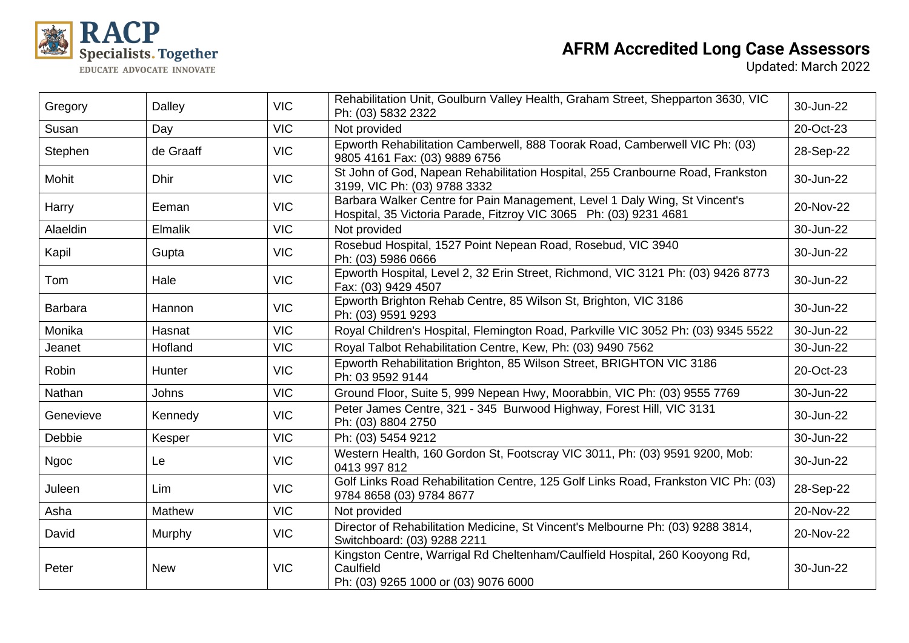

| Gregory        | Dalley      | <b>VIC</b> | Rehabilitation Unit, Goulburn Valley Health, Graham Street, Shepparton 3630, VIC<br>Ph: (03) 5832 2322                                          | 30-Jun-22 |
|----------------|-------------|------------|-------------------------------------------------------------------------------------------------------------------------------------------------|-----------|
| Susan          | Day         | <b>VIC</b> | Not provided                                                                                                                                    | 20-Oct-23 |
| Stephen        | de Graaff   | <b>VIC</b> | Epworth Rehabilitation Camberwell, 888 Toorak Road, Camberwell VIC Ph: (03)<br>9805 4161 Fax: (03) 9889 6756                                    | 28-Sep-22 |
| Mohit          | <b>Dhir</b> | <b>VIC</b> | St John of God, Napean Rehabilitation Hospital, 255 Cranbourne Road, Frankston<br>3199, VIC Ph: (03) 9788 3332                                  | 30-Jun-22 |
| Harry          | Eeman       | <b>VIC</b> | Barbara Walker Centre for Pain Management, Level 1 Daly Wing, St Vincent's<br>Hospital, 35 Victoria Parade, Fitzroy VIC 3065 Ph: (03) 9231 4681 | 20-Nov-22 |
| Alaeldin       | Elmalik     | <b>VIC</b> | Not provided                                                                                                                                    | 30-Jun-22 |
| Kapil          | Gupta       | <b>VIC</b> | Rosebud Hospital, 1527 Point Nepean Road, Rosebud, VIC 3940<br>Ph: (03) 5986 0666                                                               | 30-Jun-22 |
| Tom            | Hale        | <b>VIC</b> | Epworth Hospital, Level 2, 32 Erin Street, Richmond, VIC 3121 Ph: (03) 9426 8773<br>Fax: (03) 9429 4507                                         | 30-Jun-22 |
| <b>Barbara</b> | Hannon      | <b>VIC</b> | Epworth Brighton Rehab Centre, 85 Wilson St, Brighton, VIC 3186<br>Ph: (03) 9591 9293                                                           | 30-Jun-22 |
| Monika         | Hasnat      | <b>VIC</b> | Royal Children's Hospital, Flemington Road, Parkville VIC 3052 Ph: (03) 9345 5522                                                               | 30-Jun-22 |
| Jeanet         | Hofland     | <b>VIC</b> | Royal Talbot Rehabilitation Centre, Kew, Ph: (03) 9490 7562                                                                                     | 30-Jun-22 |
| Robin          | Hunter      | <b>VIC</b> | Epworth Rehabilitation Brighton, 85 Wilson Street, BRIGHTON VIC 3186<br>Ph: 03 9592 9144                                                        | 20-Oct-23 |
| Nathan         | Johns       | <b>VIC</b> | Ground Floor, Suite 5, 999 Nepean Hwy, Moorabbin, VIC Ph: (03) 9555 7769                                                                        | 30-Jun-22 |
| Genevieve      | Kennedy     | <b>VIC</b> | Peter James Centre, 321 - 345 Burwood Highway, Forest Hill, VIC 3131<br>Ph: (03) 8804 2750                                                      | 30-Jun-22 |
| Debbie         | Kesper      | <b>VIC</b> | Ph: (03) 5454 9212                                                                                                                              | 30-Jun-22 |
| <b>Ngoc</b>    | Le          | <b>VIC</b> | Western Health, 160 Gordon St, Footscray VIC 3011, Ph: (03) 9591 9200, Mob:<br>0413 997 812                                                     | 30-Jun-22 |
| Juleen         | Lim         | <b>VIC</b> | Golf Links Road Rehabilitation Centre, 125 Golf Links Road, Frankston VIC Ph: (03)<br>9784 8658 (03) 9784 8677                                  | 28-Sep-22 |
| Asha           | Mathew      | <b>VIC</b> | Not provided                                                                                                                                    | 20-Nov-22 |
| David          | Murphy      | <b>VIC</b> | Director of Rehabilitation Medicine, St Vincent's Melbourne Ph: (03) 9288 3814,<br>Switchboard: (03) 9288 2211                                  | 20-Nov-22 |
| Peter          | <b>New</b>  | <b>VIC</b> | Kingston Centre, Warrigal Rd Cheltenham/Caulfield Hospital, 260 Kooyong Rd,<br>Caulfield<br>Ph: (03) 9265 1000 or (03) 9076 6000                | 30-Jun-22 |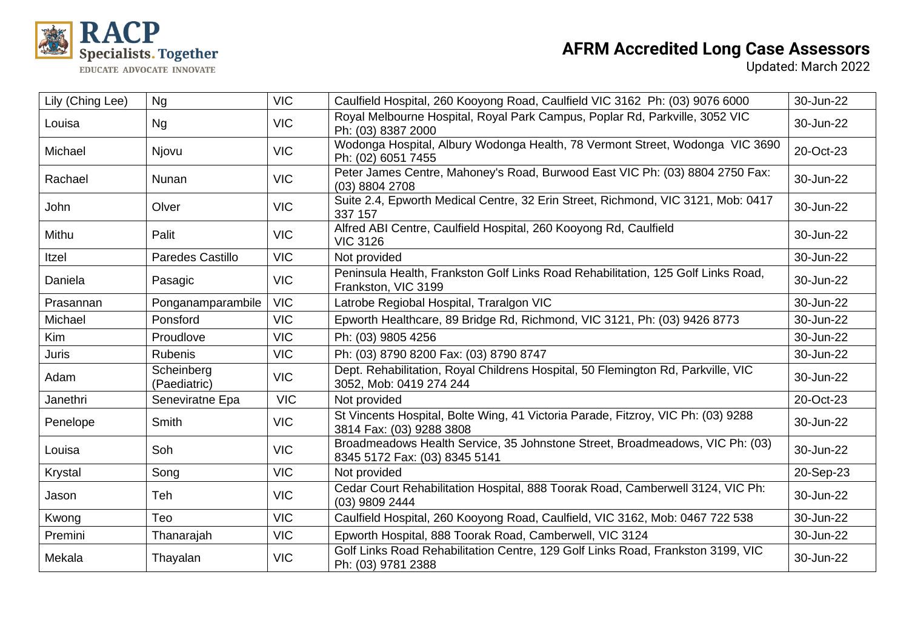

| Lily (Ching Lee) | Ng                         | <b>VIC</b> | Caulfield Hospital, 260 Kooyong Road, Caulfield VIC 3162 Ph: (03) 9076 6000                                   | 30-Jun-22 |
|------------------|----------------------------|------------|---------------------------------------------------------------------------------------------------------------|-----------|
| Louisa           | Ng                         | <b>VIC</b> | Royal Melbourne Hospital, Royal Park Campus, Poplar Rd, Parkville, 3052 VIC<br>Ph: (03) 8387 2000             | 30-Jun-22 |
| Michael          | Njovu                      | <b>VIC</b> | Wodonga Hospital, Albury Wodonga Health, 78 Vermont Street, Wodonga VIC 3690<br>Ph: (02) 6051 7455            | 20-Oct-23 |
| Rachael          | Nunan                      | <b>VIC</b> | Peter James Centre, Mahoney's Road, Burwood East VIC Ph: (03) 8804 2750 Fax:<br>(03) 8804 2708                | 30-Jun-22 |
| <b>John</b>      | Olver                      | <b>VIC</b> | Suite 2.4, Epworth Medical Centre, 32 Erin Street, Richmond, VIC 3121, Mob: 0417<br>337 157                   | 30-Jun-22 |
| Mithu            | Palit                      | <b>VIC</b> | Alfred ABI Centre, Caulfield Hospital, 260 Kooyong Rd, Caulfield<br><b>VIC 3126</b>                           | 30-Jun-22 |
| Itzel            | <b>Paredes Castillo</b>    | <b>VIC</b> | Not provided                                                                                                  | 30-Jun-22 |
| Daniela          | Pasagic                    | <b>VIC</b> | Peninsula Health, Frankston Golf Links Road Rehabilitation, 125 Golf Links Road,<br>Frankston, VIC 3199       | 30-Jun-22 |
| Prasannan        | Ponganamparambile          | <b>VIC</b> | Latrobe Regiobal Hospital, Traralgon VIC                                                                      | 30-Jun-22 |
| Michael          | Ponsford                   | <b>VIC</b> | Epworth Healthcare, 89 Bridge Rd, Richmond, VIC 3121, Ph: (03) 9426 8773                                      | 30-Jun-22 |
| <b>Kim</b>       | Proudlove                  | <b>VIC</b> | Ph: (03) 9805 4256                                                                                            | 30-Jun-22 |
| <b>Juris</b>     | <b>Rubenis</b>             | <b>VIC</b> | Ph: (03) 8790 8200 Fax: (03) 8790 8747                                                                        | 30-Jun-22 |
| Adam             | Scheinberg<br>(Paediatric) | <b>VIC</b> | Dept. Rehabilitation, Royal Childrens Hospital, 50 Flemington Rd, Parkville, VIC<br>3052, Mob: 0419 274 244   | 30-Jun-22 |
| Janethri         | Seneviratne Epa            | <b>VIC</b> | Not provided                                                                                                  | 20-Oct-23 |
| Penelope         | Smith                      | <b>VIC</b> | St Vincents Hospital, Bolte Wing, 41 Victoria Parade, Fitzroy, VIC Ph: (03) 9288<br>3814 Fax: (03) 9288 3808  | 30-Jun-22 |
| Louisa           | Soh                        | <b>VIC</b> | Broadmeadows Health Service, 35 Johnstone Street, Broadmeadows, VIC Ph: (03)<br>8345 5172 Fax: (03) 8345 5141 | 30-Jun-22 |
| Krystal          | Song                       | <b>VIC</b> | Not provided                                                                                                  | 20-Sep-23 |
| Jason            | Teh                        | <b>VIC</b> | Cedar Court Rehabilitation Hospital, 888 Toorak Road, Camberwell 3124, VIC Ph:<br>(03) 9809 2444              | 30-Jun-22 |
| Kwong            | Teo                        | <b>VIC</b> | Caulfield Hospital, 260 Kooyong Road, Caulfield, VIC 3162, Mob: 0467 722 538                                  | 30-Jun-22 |
| Premini          | Thanarajah                 | <b>VIC</b> | Epworth Hospital, 888 Toorak Road, Camberwell, VIC 3124                                                       | 30-Jun-22 |
| Mekala           | Thayalan                   | <b>VIC</b> | Golf Links Road Rehabilitation Centre, 129 Golf Links Road, Frankston 3199, VIC<br>Ph: (03) 9781 2388         | 30-Jun-22 |